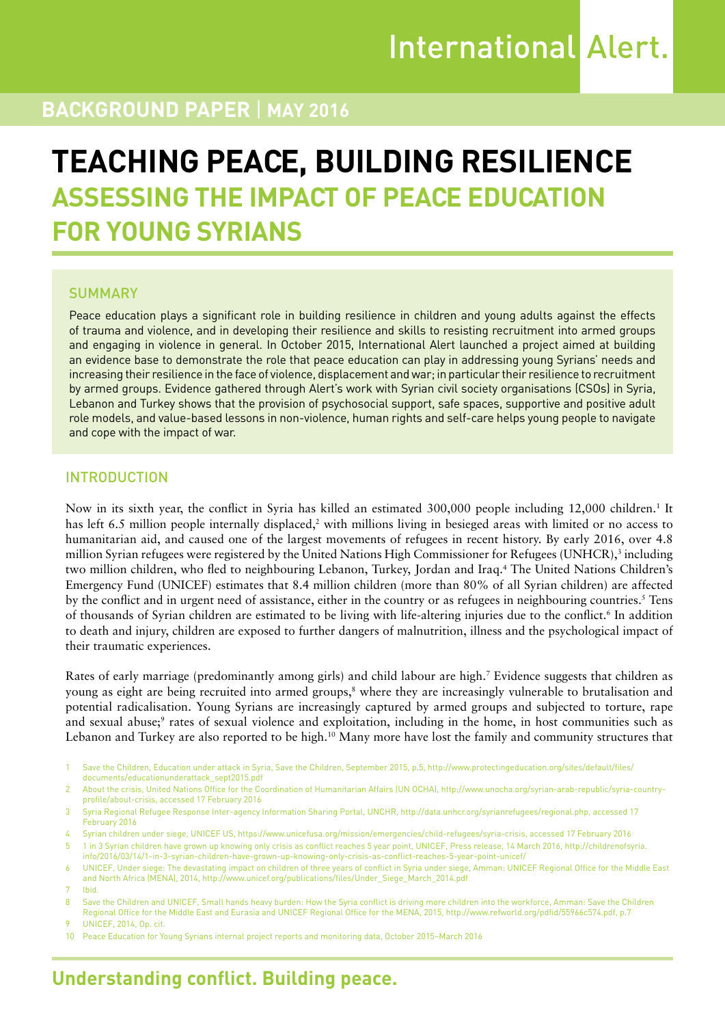# **BACKGROUND PAPER** | **MAY 2016**

# **TEACHING PEACE, BUILDING RESILIENCE ASSESSING THE IMPACT OF PEACE EDUCATION FOR YOUNG SYRIANS**

#### **SUMMARY**

Peace education plays a significant role in building resilience in children and young adults against the effects of trauma and violence, and in developing their resilience and skills to resisting recruitment into armed groups and engaging in violence in general. In October 2015, International Alert launched a project aimed at building an evidence base to demonstrate the role that peace education can play in addressing young Syrians' needs and increasing their resilience in the face of violence, displacement and war; in particular their resilience to recruitment by armed groups. Evidence gathered through Alert's work with Syrian civil society organisations (CSOs) in Syria, Lebanon and Turkey shows that the provision of psychosocial support, safe spaces, supportive and positive adult role models, and value-based lessons in non-violence, human rights and self-care helps young people to navigate and cope with the impact of war.

#### INTRODUCTION

Now in its sixth year, the conflict in Syria has killed an estimated 300,000 people including 12,000 children.<sup>1</sup> It has left 6.5 million people internally displaced,<sup>2</sup> with millions living in besieged areas with limited or no access to humanitarian aid, and caused one of the largest movements of refugees in recent history. By early 2016, over 4.8 million Syrian refugees were registered by the United Nations High Commissioner for Refugees (UNHCR),<sup>3</sup> including two million children, who fled to neighbouring Lebanon, Turkey, Jordan and Iraq.4 The United Nations Children's Emergency Fund (UNICEF) estimates that 8.4 million children (more than 80% of all Syrian children) are affected by the conflict and in urgent need of assistance, either in the country or as refugees in neighbouring countries.<sup>5</sup> Tens of thousands of Syrian children are estimated to be living with life-altering injuries due to the conflict.<sup>6</sup> In addition to death and injury, children are exposed to further dangers of malnutrition, illness and the psychological impact of their traumatic experiences.

Rates of early marriage (predominantly among girls) and child labour are high.<sup>7</sup> Evidence suggests that children as young as eight are being recruited into armed groups,<sup>8</sup> where they are increasingly vulnerable to brutalisation and potential radicalisation. Young Syrians are increasingly captured by armed groups and subjected to torture, rape and sexual abuse;<sup>9</sup> rates of sexual violence and exploitation, including in the home, in host communities such as Lebanon and Turkey are also reported to be high.<sup>10</sup> Many more have lost the family and community structures that

- 1 Save the Children, Education under attack in Syria, Save the Children, September 2015, p.5, [http://www.protectingeducation.org/sites/default/files/](http://www.protectingeducation.org/sites/default/files/documents/educationunderattack_sept2015.pdf) [documents/educationunderattack\\_sept2015.pdf](http://www.protectingeducation.org/sites/default/files/documents/educationunderattack_sept2015.pdf)
- 2 About the crisis, United Nations Office for the Coordination of Humanitarian Affairs (UN OCHA), [http://www.unocha.org/syrian-arab-republic/syria-country](http://www.unocha.org/syrian-arab-republic/syria-country-profile/about-crisis)[profile/about-crisis,](http://www.unocha.org/syrian-arab-republic/syria-country-profile/about-crisis) accessed 17 February 2016
- 3 Syria Regional Refugee Response Inter-agency Information Sharing Portal, UNCHR,<http://data.unhcr.org/syrianrefugees/regional.php>, accessed 17 February 2016
- 4 Syrian children under siege, UNICEF US,<https://www.unicefusa.org/mission/emergencies/child-refugees/syria-crisis>, accessed 17 February 2016
- 5 1 in 3 Syrian children have grown up knowing only crisis as conflict reaches 5 year point, UNICEF, Press release, 14 March 2016, [http://childrenofsyria.](http://childrenofsyria.info/2016/03/14/1-in-3-syrian-children-have-grown-up-knowing-only-crisis-as-conflict-reaches-5-year-point-unicef/) [info/2016/03/14/1-in-3-syrian-children-have-grown-up-knowing-only-crisis-as-conflict-reaches-5-year-point-unicef/](http://childrenofsyria.info/2016/03/14/1-in-3-syrian-children-have-grown-up-knowing-only-crisis-as-conflict-reaches-5-year-point-unicef/)
- 6 UNICEF, Under siege: The devastating impact on children of three years of conflict in Syria under siege, Amman: UNICEF Regional Office for the Middle East and North Africa (MENA), 2014, [http://www.unicef.org/publications/files/Under\\_Siege\\_March\\_2014.pdf](http://www.unicef.org/publications/files/Under_Siege_March_2014.pdf)
- 7 Ibid.

8 Save the Children and UNICEF, Small hands heavy burden: How the Syria conflict is driving more children into the workforce, Amman: Save the Children Regional Office for the Middle East and Eurasia and UNICEF Regional Office for the MENA, 2015, [http://www.refworld.org/pdfid/55966c574.pdf,](http://www.refworld.org/pdfid/55966c574.pdf) p.7 9 UNICEF, 2014, Op. cit.

10 Peace Education for Young Syrians internal project reports and monitoring data, October 2015–March 2016

# **Understanding conflict. Building peace.**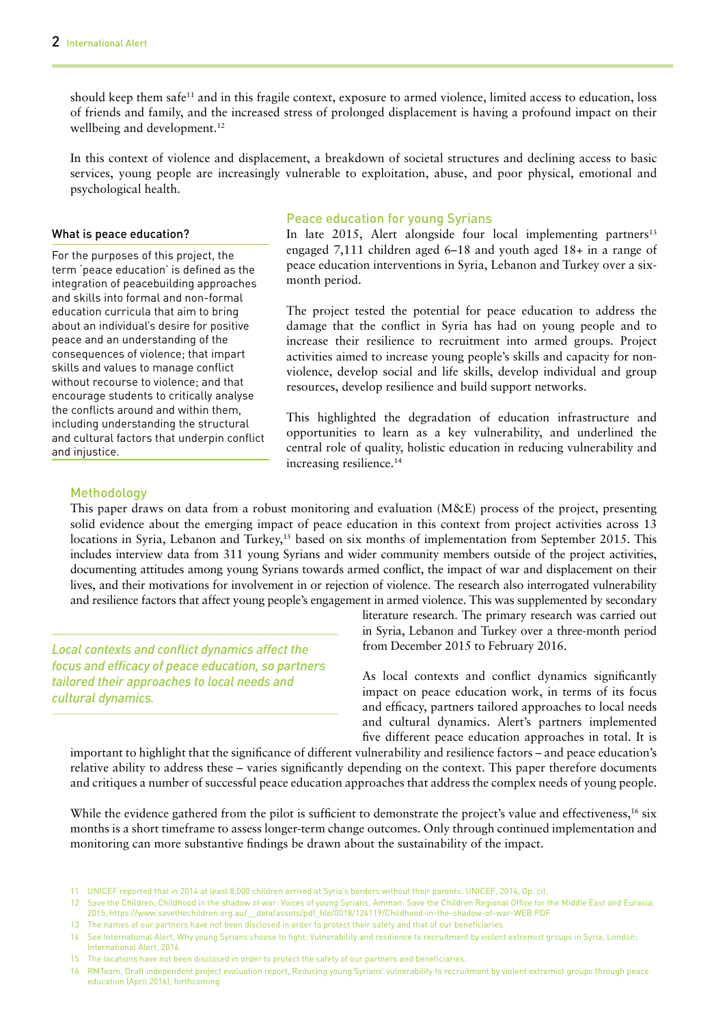should keep them safe<sup>11</sup> and in this fragile context, exposure to armed violence, limited access to education, loss of friends and family, and the increased stress of prolonged displacement is having a profound impact on their wellbeing and development.<sup>12</sup>

In this context of violence and displacement, a breakdown of societal structures and declining access to basic services, young people are increasingly vulnerable to exploitation, abuse, and poor physical, emotional and psychological health.

#### What is peace education?

For the purposes of this project, the term 'peace education' is defined as the integration of peacebuilding approaches and skills into formal and non-formal education curricula that aim to bring about an individual's desire for positive peace and an understanding of the consequences of violence; that impart skills and values to manage conflict without recourse to violence; and that encourage students to critically analyse the conflicts around and within them, including understanding the structural and cultural factors that underpin conflict and injustice.

#### Peace education for young Syrians

In late  $2015$ , Alert alongside four local implementing partners<sup>13</sup> engaged 7,111 children aged 6–18 and youth aged 18+ in a range of peace education interventions in Syria, Lebanon and Turkey over a sixmonth period.

The project tested the potential for peace education to address the damage that the conflict in Syria has had on young people and to increase their resilience to recruitment into armed groups. Project activities aimed to increase young people's skills and capacity for nonviolence, develop social and life skills, develop individual and group resources, develop resilience and build support networks.

This highlighted the degradation of education infrastructure and opportunities to learn as a key vulnerability, and underlined the central role of quality, holistic education in reducing vulnerability and increasing resilience.<sup>14</sup>

#### Methodology

This paper draws on data from a robust monitoring and evaluation (M&E) process of the project, presenting solid evidence about the emerging impact of peace education in this context from project activities across 13 locations in Syria, Lebanon and Turkey,<sup>15</sup> based on six months of implementation from September 2015. This includes interview data from 311 young Syrians and wider community members outside of the project activities, documenting attitudes among young Syrians towards armed conflict, the impact of war and displacement on their lives, and their motivations for involvement in or rejection of violence. The research also interrogated vulnerability and resilience factors that affect young people's engagement in armed violence. This was supplemented by secondary

*Local contexts and conflict dynamics affect the focus and efficacy of peace education, so partners tailored their approaches to local needs and cultural dynamics.*

literature research. The primary research was carried out in Syria, Lebanon and Turkey over a three-month period from December 2015 to February 2016.

As local contexts and conflict dynamics significantly impact on peace education work, in terms of its focus and efficacy, partners tailored approaches to local needs and cultural dynamics. Alert's partners implemented five different peace education approaches in total. It is

important to highlight that the significance of different vulnerability and resilience factors – and peace education's relative ability to address these – varies significantly depending on the context. This paper therefore documents and critiques a number of successful peace education approaches that address the complex needs of young people.

While the evidence gathered from the pilot is sufficient to demonstrate the project's value and effectiveness,<sup>16</sup> six months is a short timeframe to assess longer-term change outcomes. Only through continued implementation and monitoring can more substantive findings be drawn about the sustainability of the impact.

13 The names of our partners have not been disclosed in order to protect their safety and that of our beneficiaries.

14 See International Alert, Why young Syrians choose to fight: Vulnerability and resilience to recruitment by violent extremist groups in Syria, London:

International Alert, 2016

16 RMTeam, Draft independent project evaluation report, Reducing young Syrians' vulnerability to recruitment by violent extremist groups through peace education (April 2016), forthcoming

<sup>11</sup> UNICEF reported that in 2014 at least 8,000 children arrived at Syria's borders without their parents. UNICEF, 2014, Op. cit.

<sup>12</sup> Save the Children, Childhood in the shadow of war: Voices of young Syrians, Amman: Save the Children Regional Office for the Middle East and Eurasia, 2015, https://www.savethechildren.org.au/\_\_data/assets/pdf\_file/0018/124119/Childhood-in-the-shadow-of-war-WEB.PDF

<sup>15</sup> The locations have not been disclosed in order to protect the safety of our partners and beneficiaries.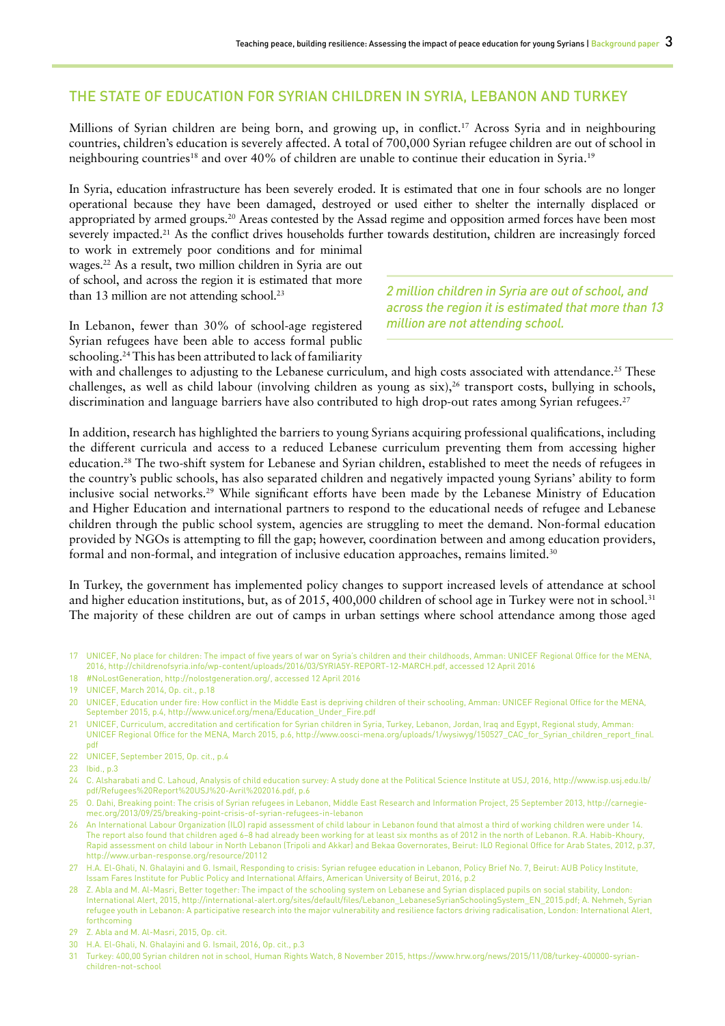#### THE STATE OF EDUCATION FOR SYRIAN CHILDREN IN SYRIA, LEBANON AND TURKEY

Millions of Syrian children are being born, and growing up, in conflict.<sup>17</sup> Across Syria and in neighbouring countries, children's education is severely affected. A total of 700,000 Syrian refugee children are out of school in neighbouring countries<sup>18</sup> and over 40% of children are unable to continue their education in Syria.<sup>19</sup>

In Syria, education infrastructure has been severely eroded. It is estimated that one in four schools are no longer operational because they have been damaged, destroyed or used either to shelter the internally displaced or appropriated by armed groups.20 Areas contested by the Assad regime and opposition armed forces have been most severely impacted.<sup>21</sup> As the conflict drives households further towards destitution, children are increasingly forced to work in extremely poor conditions and for minimal

wages.22 As a result, two million children in Syria are out of school, and across the region it is estimated that more than 13 million are not attending school.<sup>23</sup>

In Lebanon, fewer than 30% of school-age registered Syrian refugees have been able to access formal public schooling.<sup>24</sup> This has been attributed to lack of familiarity

*2 million children in Syria are out of school, and across the region it is estimated that more than 13 million are not attending school.*

with and challenges to adjusting to the Lebanese curriculum, and high costs associated with attendance.<sup>25</sup> These challenges, as well as child labour (involving children as young as  $\sin^{26}$  transport costs, bullying in schools, discrimination and language barriers have also contributed to high drop-out rates among Syrian refugees.<sup>27</sup>

In addition, research has highlighted the barriers to young Syrians acquiring professional qualifications, including the different curricula and access to a reduced Lebanese curriculum preventing them from accessing higher education.28 The two-shift system for Lebanese and Syrian children, established to meet the needs of refugees in the country's public schools, has also separated children and negatively impacted young Syrians' ability to form inclusive social networks.29 While significant efforts have been made by the Lebanese Ministry of Education and Higher Education and international partners to respond to the educational needs of refugee and Lebanese children through the public school system, agencies are struggling to meet the demand. Non-formal education provided by NGOs is attempting to fill the gap; however, coordination between and among education providers, formal and non-formal, and integration of inclusive education approaches, remains limited.30

In Turkey, the government has implemented policy changes to support increased levels of attendance at school and higher education institutions, but, as of 2015, 400,000 children of school age in Turkey were not in school.<sup>31</sup> The majority of these children are out of camps in urban settings where school attendance among those aged

- 17 UNICEF, No place for children: The impact of five years of war on Syria's children and their childhoods, Amman: UNICEF Regional Office for the MENA, 2016, [http://childrenofsyria.info/wp-content/uploads/2016/03/SYRIA5Y-REPORT-12-MARCH.pdf,](http://childrenofsyria.info/wp-content/uploads/2016/03/SYRIA5Y-REPORT-12-MARCH.pdf) accessed 12 April 2016
- 18 #NoLostGeneration, <http://nolostgeneration.org/>, accessed 12 April 2016
- 19 UNICEF, March 2014, Op. cit., p.18
- 20 UNICEF, Education under fire: How conflict in the Middle East is depriving children of their schooling, Amman: UNICEF Regional Office for the MENA, September 2015, p.4, [http://www.unicef.org/mena/Education\\_Under\\_Fire.pdf](http://www.unicef.org/mena/Education_Under_Fire.pdf)
- 21 UNICEF, Curriculum, accreditation and certification for Syrian children in Syria, Turkey, Lebanon, Jordan, Iraq and Egypt, Regional study, Amman: UNICEF Regional Office for the MENA, March 2015, p.6, [http://www.oosci-mena.org/uploads/1/wysiwyg/150527\\_CAC\\_for\\_Syrian\\_children\\_report\\_final.](http://www.oosci-mena.org/uploads/1/wysiwyg/150527_CAC_for_Syrian_children_report_final.pdf) [pdf](http://www.oosci-mena.org/uploads/1/wysiwyg/150527_CAC_for_Syrian_children_report_final.pdf)
- 22 UNICEF, September 2015, Op. cit., p.4
- 23 Ibid., p.3

24 C. Alsharabati and C. Lahoud, Analysis of child education survey: A study done at the Political Science Institute at USJ, 2016, [http://www.isp.usj.edu.lb/](http://www.isp.usj.edu.lb/pdf/Refugees%20Report%20USJ%20-Avril%202016.pdf) [pdf/Refugees%20Report%20USJ%20-Avril%202016.pdf,](http://www.isp.usj.edu.lb/pdf/Refugees%20Report%20USJ%20-Avril%202016.pdf) p.6

- 26 An International Labour Organization (ILO) rapid assessment of child labour in Lebanon found that almost a third of working children were under 14. The report also found that children aged 6–8 had already been working for at least six months as of 2012 in the north of Lebanon. R.A. Habib-Khoury, Rapid assessment on child labour in North Lebanon (Tripoli and Akkar) and Bekaa Governorates, Beirut: ILO Regional Office for Arab States, 2012, p.37, <http://www.urban-response.org/resource/20112>
- 27 H.A. El-Ghali, N. Ghalayini and G. Ismail, Responding to crisis: Syrian refugee education in Lebanon, Policy Brief No. 7, Beirut: AUB Policy Institute, Issam Fares Institute for Public Policy and International Affairs, American University of Beirut, 2016, p.2
- 28 Z. Abla and M. Al-Masri, Better together: The impact of the schooling system on Lebanese and Syrian displaced pupils on social stability, London: International Alert, 2015, [http://international-alert.org/sites/default/files/Lebanon\\_LebaneseSyrianSchoolingSystem\\_EN\\_2015.pdf](http://international-alert.org/sites/default/files/Lebanon_LebaneseSyrianSchoolingSystem_EN_2015.pdf); A. Nehmeh, Syrian refugee youth in Lebanon: A participative research into the major vulnerability and resilience factors driving radicalisation, London: International Alert, forthcoming
- 29 Z. Abla and M. Al-Masri, 2015, Op. cit.
- 30 H.A. El-Ghali, N. Ghalayini and G. Ismail, 2016, Op. cit., p.3
- 31 Turkey: 400,00 Syrian children not in school, Human Rights Watch, 8 November 2015, [https://www.hrw.org/news/2015/11/08/turkey-400000-syrian](https://www.hrw.org/news/2015/11/08/turkey-400000-syrian-children-not-school)[children-not-school](https://www.hrw.org/news/2015/11/08/turkey-400000-syrian-children-not-school)

<sup>25</sup> O. Dahi, Breaking point: The crisis of Syrian refugees in Lebanon, Middle East Research and Information Project, 25 September 2013, [http://carnegie](http://carnegie-mec.org/2013/09/25/breaking-point-crisis-of-syrian-refugees-in-lebanon)[mec.org/2013/09/25/breaking-point-crisis-of-syrian-refugees-in-lebanon](http://carnegie-mec.org/2013/09/25/breaking-point-crisis-of-syrian-refugees-in-lebanon)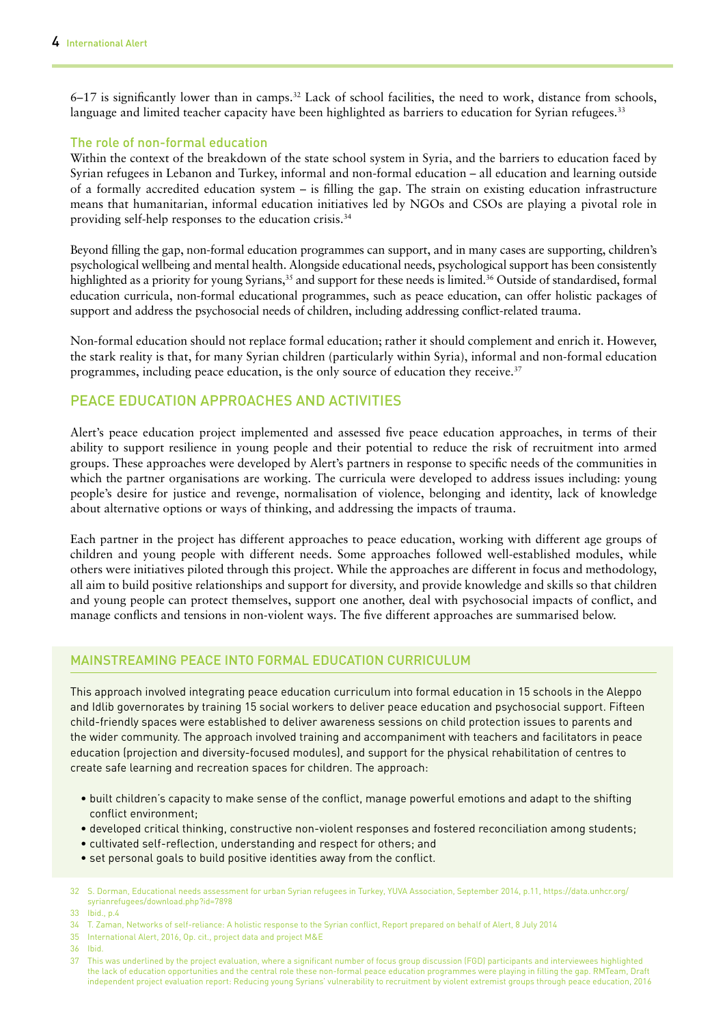$6-17$  is significantly lower than in camps.<sup>32</sup> Lack of school facilities, the need to work, distance from schools, language and limited teacher capacity have been highlighted as barriers to education for Syrian refugees.<sup>33</sup>

#### The role of non-formal education

Within the context of the breakdown of the state school system in Syria, and the barriers to education faced by Syrian refugees in Lebanon and Turkey, informal and non-formal education – all education and learning outside of a formally accredited education system – is filling the gap. The strain on existing education infrastructure means that humanitarian, informal education initiatives led by NGOs and CSOs are playing a pivotal role in providing self-help responses to the education crisis.34

Beyond filling the gap, non-formal education programmes can support, and in many cases are supporting, children's psychological wellbeing and mental health. Alongside educational needs, psychological support has been consistently highlighted as a priority for young Syrians,<sup>35</sup> and support for these needs is limited.<sup>36</sup> Outside of standardised, formal education curricula, non-formal educational programmes, such as peace education, can offer holistic packages of support and address the psychosocial needs of children, including addressing conflict-related trauma.

Non-formal education should not replace formal education; rather it should complement and enrich it. However, the stark reality is that, for many Syrian children (particularly within Syria), informal and non-formal education programmes, including peace education, is the only source of education they receive.37

### PEACE EDUCATION APPROACHES AND ACTIVITIES

Alert's peace education project implemented and assessed five peace education approaches, in terms of their ability to support resilience in young people and their potential to reduce the risk of recruitment into armed groups. These approaches were developed by Alert's partners in response to specific needs of the communities in which the partner organisations are working. The curricula were developed to address issues including: young people's desire for justice and revenge, normalisation of violence, belonging and identity, lack of knowledge about alternative options or ways of thinking, and addressing the impacts of trauma.

Each partner in the project has different approaches to peace education, working with different age groups of children and young people with different needs. Some approaches followed well-established modules, while others were initiatives piloted through this project. While the approaches are different in focus and methodology, all aim to build positive relationships and support for diversity, and provide knowledge and skills so that children and young people can protect themselves, support one another, deal with psychosocial impacts of conflict, and manage conflicts and tensions in non-violent ways. The five different approaches are summarised below.

#### MAINSTREAMING PEACE INTO FORMAL EDUCATION CURRICULUM

This approach involved integrating peace education curriculum into formal education in 15 schools in the Aleppo and Idlib governorates by training 15 social workers to deliver peace education and psychosocial support. Fifteen child-friendly spaces were established to deliver awareness sessions on child protection issues to parents and the wider community. The approach involved training and accompaniment with teachers and facilitators in peace education (projection and diversity-focused modules), and support for the physical rehabilitation of centres to create safe learning and recreation spaces for children. The approach:

- built children's capacity to make sense of the conflict, manage powerful emotions and adapt to the shifting conflict environment;
- developed critical thinking, constructive non-violent responses and fostered reconciliation among students;
- cultivated self-reflection, understanding and respect for others; and
- set personal goals to build positive identities away from the conflict.

33 Ibid., p.4

36 Ibid.

<sup>32</sup> S. Dorman, Educational needs assessment for urban Syrian refugees in Turkey, YUVA Association, September 2014, p.11, [https://data.unhcr.org/](https://data.unhcr.org/syrianrefugees/download.php?id=7898) [syrianrefugees/download.php?id=7898](https://data.unhcr.org/syrianrefugees/download.php?id=7898) 

<sup>34</sup> T. Zaman, Networks of self-reliance: A holistic response to the Syrian conflict, Report prepared on behalf of Alert, 8 July 2014

<sup>35</sup> International Alert, 2016, Op. cit., project data and project M&E

<sup>37</sup> This was underlined by the project evaluation, where a significant number of focus group discussion (FGD) participants and interviewees highlighted the lack of education opportunities and the central role these non-formal peace education programmes were playing in filling the gap. RMTeam, Draft independent project evaluation report: Reducing young Syrians' vulnerability to recruitment by violent extremist groups through peace education, 2016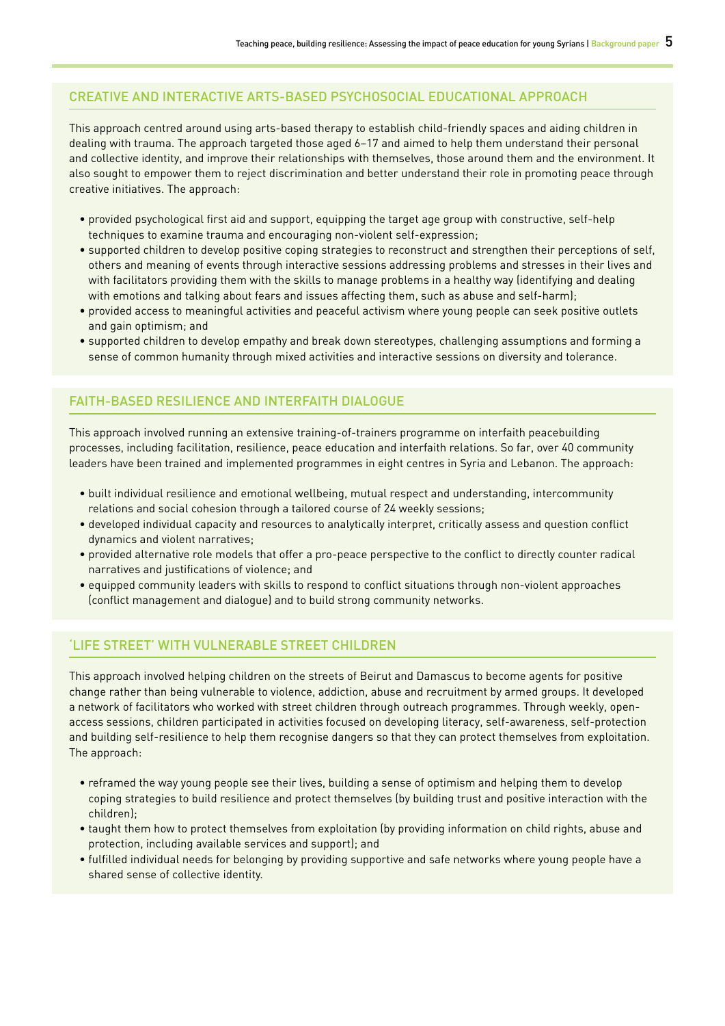#### CREATIVE AND INTERACTIVE ARTS-BASED PSYCHOSOCIAL EDUCATIONAL APPROACH

This approach centred around using arts-based therapy to establish child-friendly spaces and aiding children in dealing with trauma. The approach targeted those aged 6–17 and aimed to help them understand their personal and collective identity, and improve their relationships with themselves, those around them and the environment. It also sought to empower them to reject discrimination and better understand their role in promoting peace through creative initiatives. The approach:

- provided psychological first aid and support, equipping the target age group with constructive, self-help techniques to examine trauma and encouraging non-violent self-expression;
- supported children to develop positive coping strategies to reconstruct and strengthen their perceptions of self, others and meaning of events through interactive sessions addressing problems and stresses in their lives and with facilitators providing them with the skills to manage problems in a healthy way (identifying and dealing with emotions and talking about fears and issues affecting them, such as abuse and self-harm);
- provided access to meaningful activities and peaceful activism where young people can seek positive outlets and gain optimism; and
- supported children to develop empathy and break down stereotypes, challenging assumptions and forming a sense of common humanity through mixed activities and interactive sessions on diversity and tolerance.

#### FAITH-BASED RESILIENCE AND INTERFAITH DIALOGUE

This approach involved running an extensive training-of-trainers programme on interfaith peacebuilding processes, including facilitation, resilience, peace education and interfaith relations. So far, over 40 community leaders have been trained and implemented programmes in eight centres in Syria and Lebanon. The approach:

- built individual resilience and emotional wellbeing, mutual respect and understanding, intercommunity relations and social cohesion through a tailored course of 24 weekly sessions;
- developed individual capacity and resources to analytically interpret, critically assess and question conflict dynamics and violent narratives;
- provided alternative role models that offer a pro-peace perspective to the conflict to directly counter radical narratives and justifications of violence; and
- equipped community leaders with skills to respond to conflict situations through non-violent approaches (conflict management and dialogue) and to build strong community networks.

#### 'LIFE STREET' WITH VULNERABLE STREET CHILDREN

This approach involved helping children on the streets of Beirut and Damascus to become agents for positive change rather than being vulnerable to violence, addiction, abuse and recruitment by armed groups. It developed a network of facilitators who worked with street children through outreach programmes. Through weekly, openaccess sessions, children participated in activities focused on developing literacy, self-awareness, self-protection and building self-resilience to help them recognise dangers so that they can protect themselves from exploitation. The approach:

- reframed the way young people see their lives, building a sense of optimism and helping them to develop coping strategies to build resilience and protect themselves (by building trust and positive interaction with the children);
- taught them how to protect themselves from exploitation (by providing information on child rights, abuse and protection, including available services and support); and
- fulfilled individual needs for belonging by providing supportive and safe networks where young people have a shared sense of collective identity.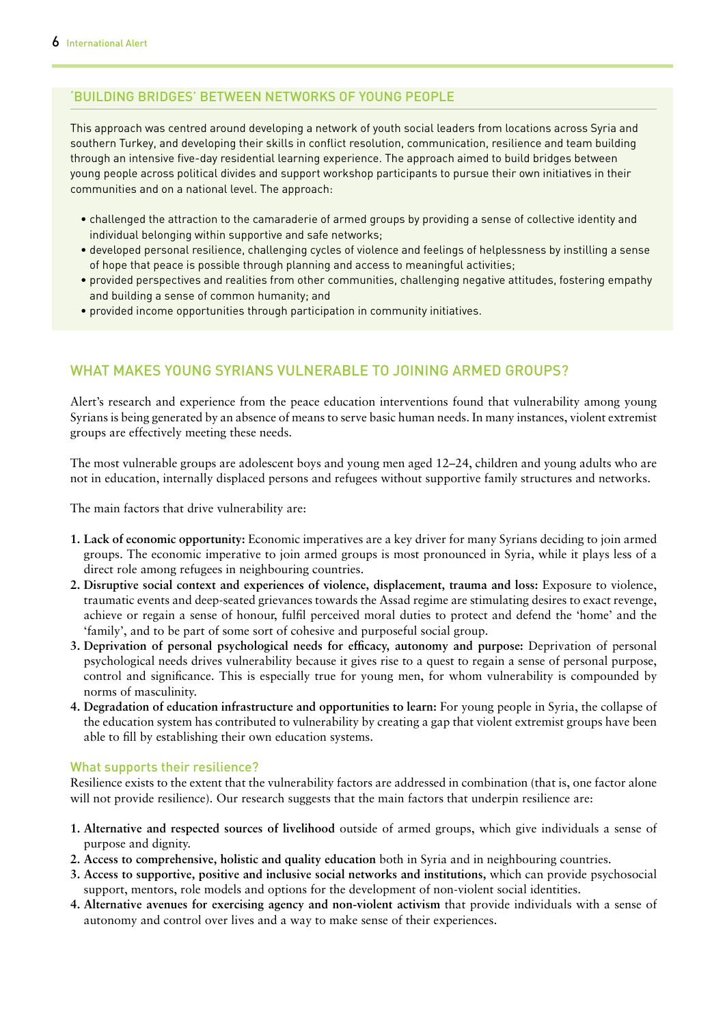#### 'BUILDING BRIDGES' BETWEEN NETWORKS OF YOUNG PEOPLE

This approach was centred around developing a network of youth social leaders from locations across Syria and southern Turkey, and developing their skills in conflict resolution, communication, resilience and team building through an intensive five-day residential learning experience. The approach aimed to build bridges between young people across political divides and support workshop participants to pursue their own initiatives in their communities and on a national level. The approach:

- challenged the attraction to the camaraderie of armed groups by providing a sense of collective identity and individual belonging within supportive and safe networks;
- developed personal resilience, challenging cycles of violence and feelings of helplessness by instilling a sense of hope that peace is possible through planning and access to meaningful activities;
- provided perspectives and realities from other communities, challenging negative attitudes, fostering empathy and building a sense of common humanity; and
- provided income opportunities through participation in community initiatives.

## WHAT MAKES YOUNG SYRIANS VULNERABLE TO JOINING ARMED GROUPS?

Alert's research and experience from the peace education interventions found that vulnerability among young Syrians is being generated by an absence of means to serve basic human needs. In many instances, violent extremist groups are effectively meeting these needs.

The most vulnerable groups are adolescent boys and young men aged 12–24, children and young adults who are not in education, internally displaced persons and refugees without supportive family structures and networks.

The main factors that drive vulnerability are:

- **1. Lack of economic opportunity:** Economic imperatives are a key driver for many Syrians deciding to join armed groups. The economic imperative to join armed groups is most pronounced in Syria, while it plays less of a direct role among refugees in neighbouring countries.
- **2. Disruptive social context and experiences of violence, displacement, trauma and loss:** Exposure to violence, traumatic events and deep-seated grievances towards the Assad regime are stimulating desires to exact revenge, achieve or regain a sense of honour, fulfil perceived moral duties to protect and defend the 'home' and the 'family', and to be part of some sort of cohesive and purposeful social group.
- **3. Deprivation of personal psychological needs for efficacy, autonomy and purpose:** Deprivation of personal psychological needs drives vulnerability because it gives rise to a quest to regain a sense of personal purpose, control and significance. This is especially true for young men, for whom vulnerability is compounded by norms of masculinity.
- **4. Degradation of education infrastructure and opportunities to learn:** For young people in Syria, the collapse of the education system has contributed to vulnerability by creating a gap that violent extremist groups have been able to fill by establishing their own education systems.

#### What supports their resilience?

Resilience exists to the extent that the vulnerability factors are addressed in combination (that is, one factor alone will not provide resilience). Our research suggests that the main factors that underpin resilience are:

- **1. Alternative and respected sources of livelihood** outside of armed groups, which give individuals a sense of purpose and dignity.
- **2. Access to comprehensive, holistic and quality education** both in Syria and in neighbouring countries.
- **3. Access to supportive, positive and inclusive social networks and institutions,** which can provide psychosocial support, mentors, role models and options for the development of non-violent social identities.
- **4. Alternative avenues for exercising agency and non-violent activism** that provide individuals with a sense of autonomy and control over lives and a way to make sense of their experiences.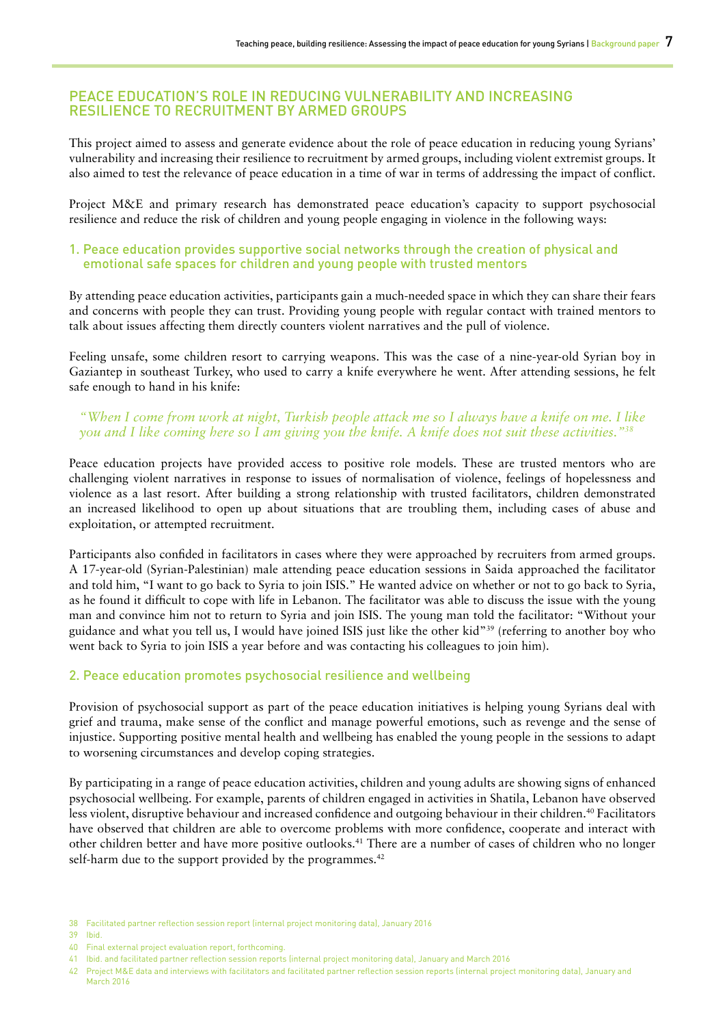#### PEACE EDUCATION'S ROLE IN REDUCING VULNERABILITY AND INCREASING RESILIENCE TO RECRUITMENT BY ARMED GROUPS

This project aimed to assess and generate evidence about the role of peace education in reducing young Syrians' vulnerability and increasing their resilience to recruitment by armed groups, including violent extremist groups. It also aimed to test the relevance of peace education in a time of war in terms of addressing the impact of conflict.

Project M&E and primary research has demonstrated peace education's capacity to support psychosocial resilience and reduce the risk of children and young people engaging in violence in the following ways:

#### 1. Peace education provides supportive social networks through the creation of physical and emotional safe spaces for children and young people with trusted mentors

By attending peace education activities, participants gain a much-needed space in which they can share their fears and concerns with people they can trust. Providing young people with regular contact with trained mentors to talk about issues affecting them directly counters violent narratives and the pull of violence.

Feeling unsafe, some children resort to carrying weapons. This was the case of a nine-year-old Syrian boy in Gaziantep in southeast Turkey, who used to carry a knife everywhere he went. After attending sessions, he felt safe enough to hand in his knife:

#### *"When I come from work at night, Turkish people attack me so I always have a knife on me. I like you and I like coming here so I am giving you the knife. A knife does not suit these activities."38*

Peace education projects have provided access to positive role models. These are trusted mentors who are challenging violent narratives in response to issues of normalisation of violence, feelings of hopelessness and violence as a last resort. After building a strong relationship with trusted facilitators, children demonstrated an increased likelihood to open up about situations that are troubling them, including cases of abuse and exploitation, or attempted recruitment.

Participants also confided in facilitators in cases where they were approached by recruiters from armed groups. A 17-year-old (Syrian-Palestinian) male attending peace education sessions in Saida approached the facilitator and told him, "I want to go back to Syria to join ISIS." He wanted advice on whether or not to go back to Syria, as he found it difficult to cope with life in Lebanon. The facilitator was able to discuss the issue with the young man and convince him not to return to Syria and join ISIS. The young man told the facilitator: "Without your guidance and what you tell us, I would have joined ISIS just like the other kid"<sup>39</sup> (referring to another boy who went back to Syria to join ISIS a year before and was contacting his colleagues to join him).

#### 2. Peace education promotes psychosocial resilience and wellbeing

Provision of psychosocial support as part of the peace education initiatives is helping young Syrians deal with grief and trauma, make sense of the conflict and manage powerful emotions, such as revenge and the sense of injustice. Supporting positive mental health and wellbeing has enabled the young people in the sessions to adapt to worsening circumstances and develop coping strategies.

By participating in a range of peace education activities, children and young adults are showing signs of enhanced psychosocial wellbeing. For example, parents of children engaged in activities in Shatila, Lebanon have observed less violent, disruptive behaviour and increased confidence and outgoing behaviour in their children.40 Facilitators have observed that children are able to overcome problems with more confidence, cooperate and interact with other children better and have more positive outlooks.41 There are a number of cases of children who no longer self-harm due to the support provided by the programmes.<sup>42</sup>

40 Final external project evaluation report, forthcoming.

<sup>38</sup> Facilitated partner reflection session report (internal project monitoring data), January 2016

<sup>39</sup> Ibid.

<sup>41</sup> Ibid. and facilitated partner reflection session reports (internal project monitoring data), January and March 2016

<sup>42</sup> Project M&E data and interviews with facilitators and facilitated partner reflection session reports (internal project monitoring data), January and March 2016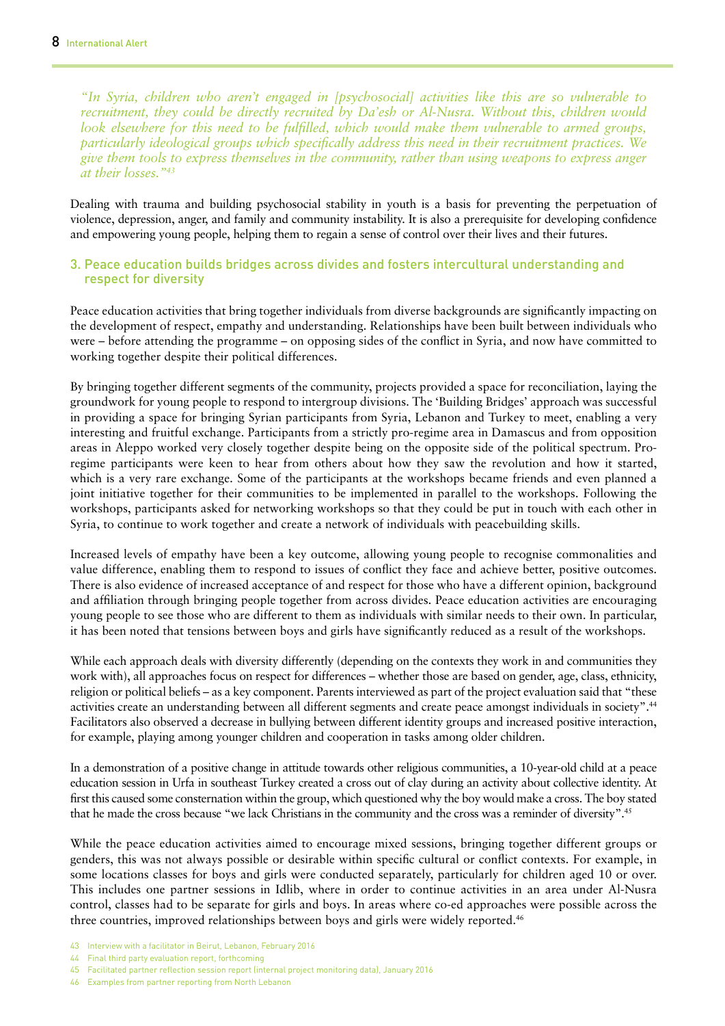*"In Syria, children who aren't engaged in [psychosocial] activities like this are so vulnerable to recruitment, they could be directly recruited by Da'esh or Al-Nusra. Without this, children would look elsewhere for this need to be fulfilled, which would make them vulnerable to armed groups, particularly ideological groups which specifically address this need in their recruitment practices. We give them tools to express themselves in the community, rather than using weapons to express anger at their losses."43*

Dealing with trauma and building psychosocial stability in youth is a basis for preventing the perpetuation of violence, depression, anger, and family and community instability. It is also a prerequisite for developing confidence and empowering young people, helping them to regain a sense of control over their lives and their futures.

#### 3. Peace education builds bridges across divides and fosters intercultural understanding and respect for diversity

Peace education activities that bring together individuals from diverse backgrounds are significantly impacting on the development of respect, empathy and understanding. Relationships have been built between individuals who were – before attending the programme – on opposing sides of the conflict in Syria, and now have committed to working together despite their political differences.

By bringing together different segments of the community, projects provided a space for reconciliation, laying the groundwork for young people to respond to intergroup divisions. The 'Building Bridges' approach was successful in providing a space for bringing Syrian participants from Syria, Lebanon and Turkey to meet, enabling a very interesting and fruitful exchange. Participants from a strictly pro-regime area in Damascus and from opposition areas in Aleppo worked very closely together despite being on the opposite side of the political spectrum. Proregime participants were keen to hear from others about how they saw the revolution and how it started, which is a very rare exchange. Some of the participants at the workshops became friends and even planned a joint initiative together for their communities to be implemented in parallel to the workshops. Following the workshops, participants asked for networking workshops so that they could be put in touch with each other in Syria, to continue to work together and create a network of individuals with peacebuilding skills.

Increased levels of empathy have been a key outcome, allowing young people to recognise commonalities and value difference, enabling them to respond to issues of conflict they face and achieve better, positive outcomes. There is also evidence of increased acceptance of and respect for those who have a different opinion, background and affiliation through bringing people together from across divides. Peace education activities are encouraging young people to see those who are different to them as individuals with similar needs to their own. In particular, it has been noted that tensions between boys and girls have significantly reduced as a result of the workshops.

While each approach deals with diversity differently (depending on the contexts they work in and communities they work with), all approaches focus on respect for differences – whether those are based on gender, age, class, ethnicity, religion or political beliefs – as a key component. Parents interviewed as part of the project evaluation said that "these activities create an understanding between all different segments and create peace amongst individuals in society".44 Facilitators also observed a decrease in bullying between different identity groups and increased positive interaction, for example, playing among younger children and cooperation in tasks among older children.

In a demonstration of a positive change in attitude towards other religious communities, a 10-year-old child at a peace education session in Urfa in southeast Turkey created a cross out of clay during an activity about collective identity. At first this caused some consternation within the group, which questioned why the boy would make a cross. The boy stated that he made the cross because "we lack Christians in the community and the cross was a reminder of diversity".45

While the peace education activities aimed to encourage mixed sessions, bringing together different groups or genders, this was not always possible or desirable within specific cultural or conflict contexts. For example, in some locations classes for boys and girls were conducted separately, particularly for children aged 10 or over. This includes one partner sessions in Idlib, where in order to continue activities in an area under Al-Nusra control, classes had to be separate for girls and boys. In areas where co-ed approaches were possible across the three countries, improved relationships between boys and girls were widely reported.<sup>46</sup>

- 43 Interview with a facilitator in Beirut, Lebanon, February 2016
- 44 Final third party evaluation report, forthcoming
- 45 Facilitated partner reflection session report (internal project monitoring data), January 2016
- 46 Examples from partner reporting from North Lebanon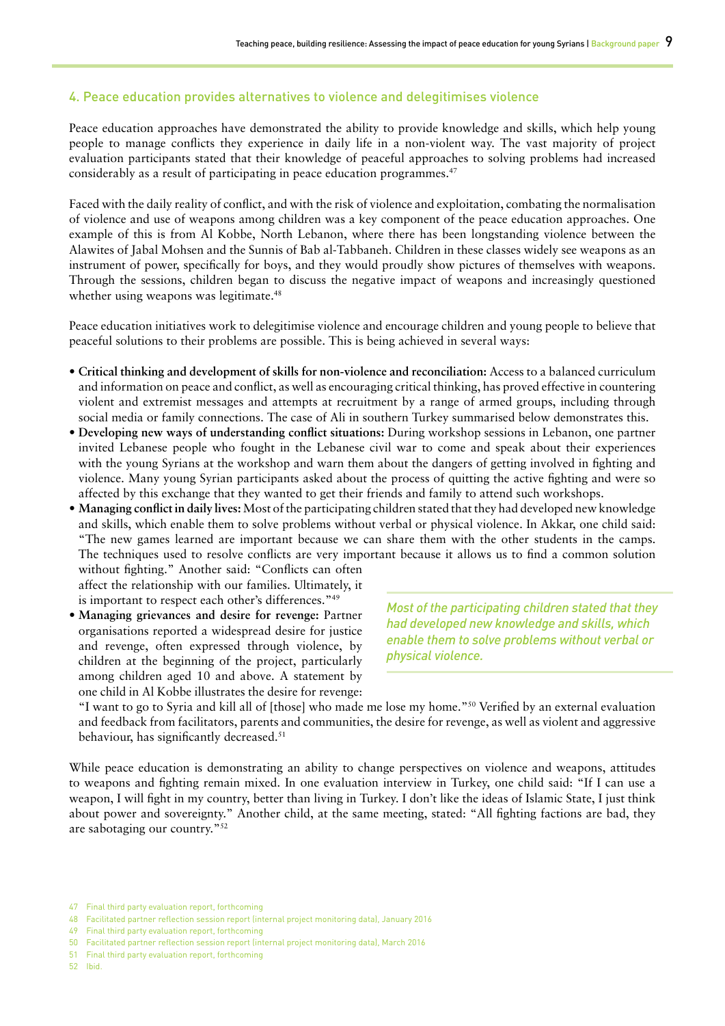#### 4. Peace education provides alternatives to violence and delegitimises violence

Peace education approaches have demonstrated the ability to provide knowledge and skills, which help young people to manage conflicts they experience in daily life in a non-violent way. The vast majority of project evaluation participants stated that their knowledge of peaceful approaches to solving problems had increased considerably as a result of participating in peace education programmes.47

Faced with the daily reality of conflict, and with the risk of violence and exploitation, combating the normalisation of violence and use of weapons among children was a key component of the peace education approaches. One example of this is from Al Kobbe, North Lebanon, where there has been longstanding violence between the Alawites of Jabal Mohsen and the Sunnis of Bab al-Tabbaneh. Children in these classes widely see weapons as an instrument of power, specifically for boys, and they would proudly show pictures of themselves with weapons. Through the sessions, children began to discuss the negative impact of weapons and increasingly questioned whether using weapons was legitimate.<sup>48</sup>

Peace education initiatives work to delegitimise violence and encourage children and young people to believe that peaceful solutions to their problems are possible. This is being achieved in several ways:

- **Critical thinking and development of skills for non-violence and reconciliation:** Access to a balanced curriculum and information on peace and conflict, as well as encouraging critical thinking, has proved effective in countering violent and extremist messages and attempts at recruitment by a range of armed groups, including through social media or family connections. The case of Ali in southern Turkey summarised below demonstrates this.
- **Developing new ways of understanding conflict situations:** During workshop sessions in Lebanon, one partner invited Lebanese people who fought in the Lebanese civil war to come and speak about their experiences with the young Syrians at the workshop and warn them about the dangers of getting involved in fighting and violence. Many young Syrian participants asked about the process of quitting the active fighting and were so affected by this exchange that they wanted to get their friends and family to attend such workshops.
- **Managing conflict in daily lives:** Most of the participating children stated that they had developed new knowledge and skills, which enable them to solve problems without verbal or physical violence. In Akkar, one child said: "The new games learned are important because we can share them with the other students in the camps. The techniques used to resolve conflicts are very important because it allows us to find a common solution without fighting." Another said: "Conflicts can often

affect the relationship with our families. Ultimately, it is important to respect each other's differences."49

**• Managing grievances and desire for revenge:** Partner organisations reported a widespread desire for justice and revenge, often expressed through violence, by children at the beginning of the project, particularly among children aged 10 and above. A statement by one child in Al Kobbe illustrates the desire for revenge: *Most of the participating children stated that they had developed new knowledge and skills, which enable them to solve problems without verbal or physical violence.*

"I want to go to Syria and kill all of [those] who made me lose my home."50 Verified by an external evaluation and feedback from facilitators, parents and communities, the desire for revenge, as well as violent and aggressive behaviour, has significantly decreased.<sup>51</sup>

While peace education is demonstrating an ability to change perspectives on violence and weapons, attitudes to weapons and fighting remain mixed. In one evaluation interview in Turkey, one child said: "If I can use a weapon, I will fight in my country, better than living in Turkey. I don't like the ideas of Islamic State, I just think about power and sovereignty." Another child, at the same meeting, stated: "All fighting factions are bad, they are sabotaging our country."52

- 47 Final third party evaluation report, forthcoming
- 48 Facilitated partner reflection session report (internal project monitoring data), January 2016
- 49 Final third party evaluation report, forthcoming
- 50 Facilitated partner reflection session report (internal project monitoring data), March 2016
- 51 Final third party evaluation report, forthcoming
- 52 Ibid.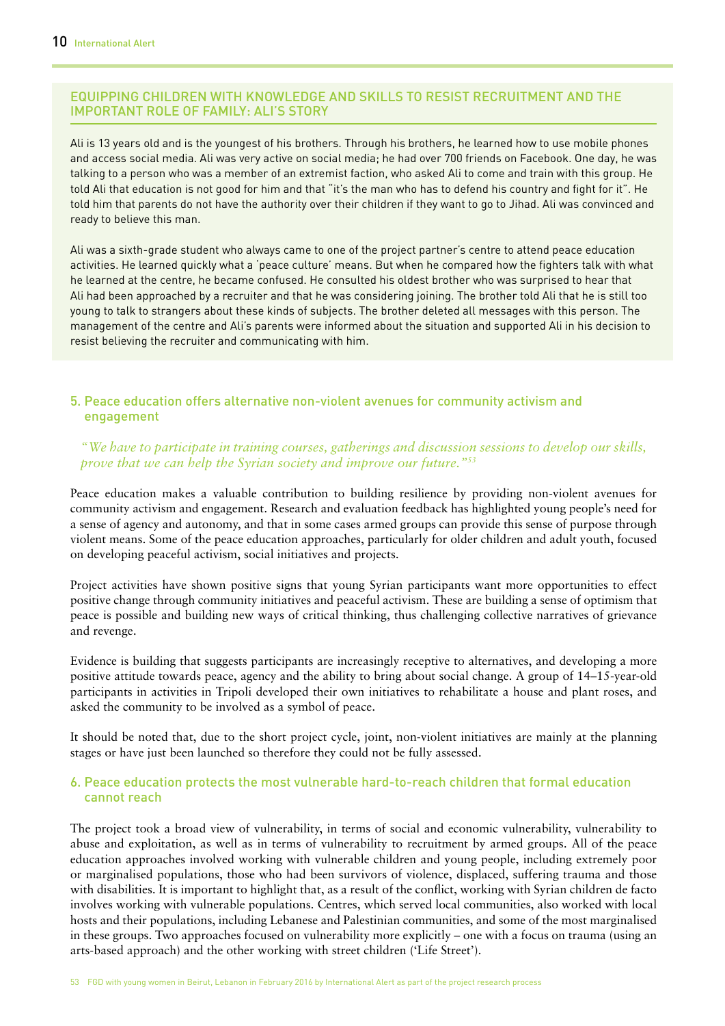#### EQUIPPING CHILDREN WITH KNOWLEDGE AND SKILLS TO RESIST RECRUITMENT AND THE IMPORTANT ROLE OF FAMILY: ALI'S STORY

Ali is 13 years old and is the youngest of his brothers. Through his brothers, he learned how to use mobile phones and access social media. Ali was very active on social media; he had over 700 friends on Facebook. One day, he was talking to a person who was a member of an extremist faction, who asked Ali to come and train with this group. He told Ali that education is not good for him and that "it's the man who has to defend his country and fight for it". He told him that parents do not have the authority over their children if they want to go to Jihad. Ali was convinced and ready to believe this man.

Ali was a sixth-grade student who always came to one of the project partner's centre to attend peace education activities. He learned quickly what a 'peace culture' means. But when he compared how the fighters talk with what he learned at the centre, he became confused. He consulted his oldest brother who was surprised to hear that Ali had been approached by a recruiter and that he was considering joining. The brother told Ali that he is still too young to talk to strangers about these kinds of subjects. The brother deleted all messages with this person. The management of the centre and Ali's parents were informed about the situation and supported Ali in his decision to resist believing the recruiter and communicating with him.

#### 5. Peace education offers alternative non-violent avenues for community activism and engagement

*"We have to participate in training courses, gatherings and discussion sessions to develop our skills, prove that we can help the Syrian society and improve our future."53*

Peace education makes a valuable contribution to building resilience by providing non-violent avenues for community activism and engagement. Research and evaluation feedback has highlighted young people's need for a sense of agency and autonomy, and that in some cases armed groups can provide this sense of purpose through violent means. Some of the peace education approaches, particularly for older children and adult youth, focused on developing peaceful activism, social initiatives and projects.

Project activities have shown positive signs that young Syrian participants want more opportunities to effect positive change through community initiatives and peaceful activism. These are building a sense of optimism that peace is possible and building new ways of critical thinking, thus challenging collective narratives of grievance and revenge.

Evidence is building that suggests participants are increasingly receptive to alternatives, and developing a more positive attitude towards peace, agency and the ability to bring about social change. A group of 14–15-year-old participants in activities in Tripoli developed their own initiatives to rehabilitate a house and plant roses, and asked the community to be involved as a symbol of peace.

It should be noted that, due to the short project cycle, joint, non-violent initiatives are mainly at the planning stages or have just been launched so therefore they could not be fully assessed.

#### 6. Peace education protects the most vulnerable hard-to-reach children that formal education cannot reach

The project took a broad view of vulnerability, in terms of social and economic vulnerability, vulnerability to abuse and exploitation, as well as in terms of vulnerability to recruitment by armed groups. All of the peace education approaches involved working with vulnerable children and young people, including extremely poor or marginalised populations, those who had been survivors of violence, displaced, suffering trauma and those with disabilities. It is important to highlight that, as a result of the conflict, working with Syrian children de facto involves working with vulnerable populations. Centres, which served local communities, also worked with local hosts and their populations, including Lebanese and Palestinian communities, and some of the most marginalised in these groups. Two approaches focused on vulnerability more explicitly – one with a focus on trauma (using an arts-based approach) and the other working with street children ('Life Street').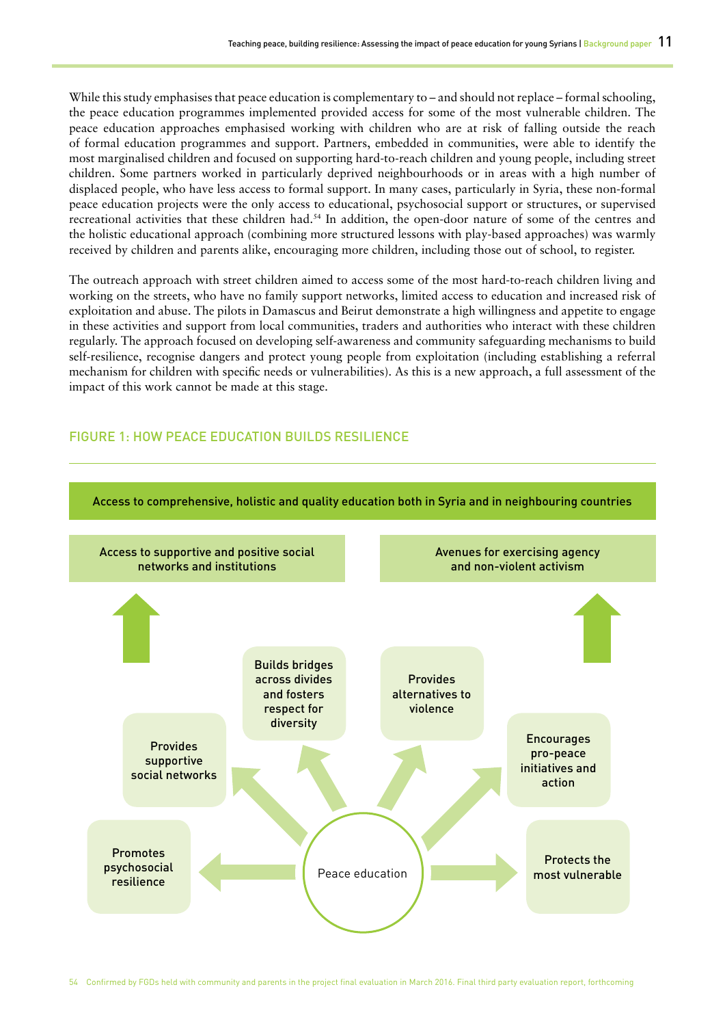While this study emphasises that peace education is complementary to – and should not replace – formal schooling, the peace education programmes implemented provided access for some of the most vulnerable children. The peace education approaches emphasised working with children who are at risk of falling outside the reach of formal education programmes and support. Partners, embedded in communities, were able to identify the most marginalised children and focused on supporting hard-to-reach children and young people, including street children. Some partners worked in particularly deprived neighbourhoods or in areas with a high number of displaced people, who have less access to formal support. In many cases, particularly in Syria, these non-formal peace education projects were the only access to educational, psychosocial support or structures, or supervised recreational activities that these children had.54 In addition, the open-door nature of some of the centres and the holistic educational approach (combining more structured lessons with play-based approaches) was warmly received by children and parents alike, encouraging more children, including those out of school, to register.

The outreach approach with street children aimed to access some of the most hard-to-reach children living and working on the streets, who have no family support networks, limited access to education and increased risk of exploitation and abuse. The pilots in Damascus and Beirut demonstrate a high willingness and appetite to engage in these activities and support from local communities, traders and authorities who interact with these children regularly. The approach focused on developing self-awareness and community safeguarding mechanisms to build self-resilience, recognise dangers and protect young people from exploitation (including establishing a referral mechanism for children with specific needs or vulnerabilities). As this is a new approach, a full assessment of the impact of this work cannot be made at this stage.

#### FIGURE 1: HOW PEACE EDUCATION BUILDS RESILIENCE



54 Confirmed by FGDs held with community and parents in the project final evaluation in March 2016. Final third party evaluation report, forthcoming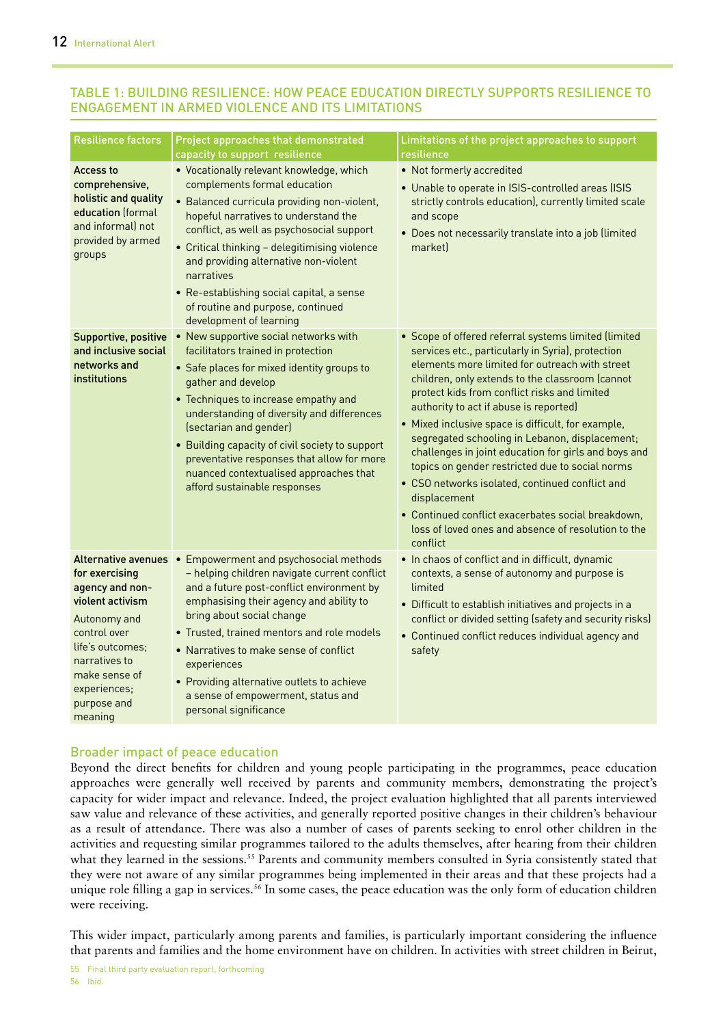### TABLE 1: BUILDING RESILIENCE: HOW PEACE EDUCATION DIRECTLY SUPPORTS RESILIENCE TO ENGAGEMENT IN ARMED VIOLENCE AND ITS LIMITATIONS

| <b>Resilience factors</b>                                                                                                                                                                                                  | Project approaches that demonstrated<br>capacity to support resilience                                                                                                                                                                                                                                                                                                                                                                                                                                                                                                                                                                                                                                                                                                                                                                                                          | Limitations of the project approaches to support                                                                                                                                                                                                                                                                                                                                                                                                                                                                                                                                                                                                                                                                                                                     |
|----------------------------------------------------------------------------------------------------------------------------------------------------------------------------------------------------------------------------|---------------------------------------------------------------------------------------------------------------------------------------------------------------------------------------------------------------------------------------------------------------------------------------------------------------------------------------------------------------------------------------------------------------------------------------------------------------------------------------------------------------------------------------------------------------------------------------------------------------------------------------------------------------------------------------------------------------------------------------------------------------------------------------------------------------------------------------------------------------------------------|----------------------------------------------------------------------------------------------------------------------------------------------------------------------------------------------------------------------------------------------------------------------------------------------------------------------------------------------------------------------------------------------------------------------------------------------------------------------------------------------------------------------------------------------------------------------------------------------------------------------------------------------------------------------------------------------------------------------------------------------------------------------|
| <b>Access to</b><br>comprehensive,<br>holistic and quality<br>education (formal<br>and informall not<br>provided by armed<br>groups<br><b>Supportive, positive</b><br>and inclusive social<br>networks and<br>institutions | • Vocationally relevant knowledge, which<br>complements formal education<br>• Balanced curricula providing non-violent,<br>hopeful narratives to understand the<br>conflict, as well as psychosocial support<br>• Critical thinking - delegitimising violence<br>and providing alternative non-violent<br>narratives<br>• Re-establishing social capital, a sense<br>of routine and purpose, continued<br>development of learning<br>• New supportive social networks with<br>facilitators trained in protection<br>• Safe places for mixed identity groups to<br>gather and develop<br>• Techniques to increase empathy and<br>understanding of diversity and differences<br>(sectarian and gender)<br>• Building capacity of civil society to support<br>preventative responses that allow for more<br>nuanced contextualised approaches that<br>afford sustainable responses | resilience<br>• Not formerly accredited<br>• Unable to operate in ISIS-controlled areas (ISIS<br>strictly controls education), currently limited scale<br>and scope<br>• Does not necessarily translate into a job (limited<br>market<br>• Scope of offered referral systems limited (limited<br>services etc., particularly in Syria), protection<br>elements more limited for outreach with street<br>children, only extends to the classroom (cannot<br>protect kids from conflict risks and limited<br>authority to act if abuse is reported)<br>• Mixed inclusive space is difficult, for example,<br>segregated schooling in Lebanon, displacement;<br>challenges in joint education for girls and boys and<br>topics on gender restricted due to social norms |
|                                                                                                                                                                                                                            |                                                                                                                                                                                                                                                                                                                                                                                                                                                                                                                                                                                                                                                                                                                                                                                                                                                                                 | • CSO networks isolated, continued conflict and<br>displacement<br>• Continued conflict exacerbates social breakdown,<br>loss of loved ones and absence of resolution to the<br>conflict                                                                                                                                                                                                                                                                                                                                                                                                                                                                                                                                                                             |
| for exercising<br>agency and non-<br>violent activism<br>Autonomy and<br>control over<br>life's outcomes:<br>narratives to<br>make sense of<br>experiences;<br>purpose and<br>meaning                                      | Alternative avenues • Empowerment and psychosocial methods<br>- helping children navigate current conflict<br>and a future post-conflict environment by<br>emphasising their agency and ability to<br>bring about social change<br>• Trusted, trained mentors and role models<br>• Narratives to make sense of conflict<br>experiences<br>• Providing alternative outlets to achieve<br>a sense of empowerment, status and<br>personal significance                                                                                                                                                                                                                                                                                                                                                                                                                             | • In chaos of conflict and in difficult, dynamic<br>contexts, a sense of autonomy and purpose is<br>limited<br>• Difficult to establish initiatives and projects in a<br>conflict or divided setting (safety and security risks)<br>• Continued conflict reduces individual agency and<br>safety                                                                                                                                                                                                                                                                                                                                                                                                                                                                     |

# Broader impact of peace education

Beyond the direct benefits for children and young people participating in the programmes, peace education approaches were generally well received by parents and community members, demonstrating the project's capacity for wider impact and relevance. Indeed, the project evaluation highlighted that all parents interviewed saw value and relevance of these activities, and generally reported positive changes in their children's behaviour as a result of attendance. There was also a number of cases of parents seeking to enrol other children in the activities and requesting similar programmes tailored to the adults themselves, after hearing from their children what they learned in the sessions.<sup>55</sup> Parents and community members consulted in Syria consistently stated that they were not aware of any similar programmes being implemented in their areas and that these projects had a unique role filling a gap in services.<sup>56</sup> In some cases, the peace education was the only form of education children were receiving.

This wider impact, particularly among parents and families, is particularly important considering the influence that parents and families and the home environment have on children. In activities with street children in Beirut,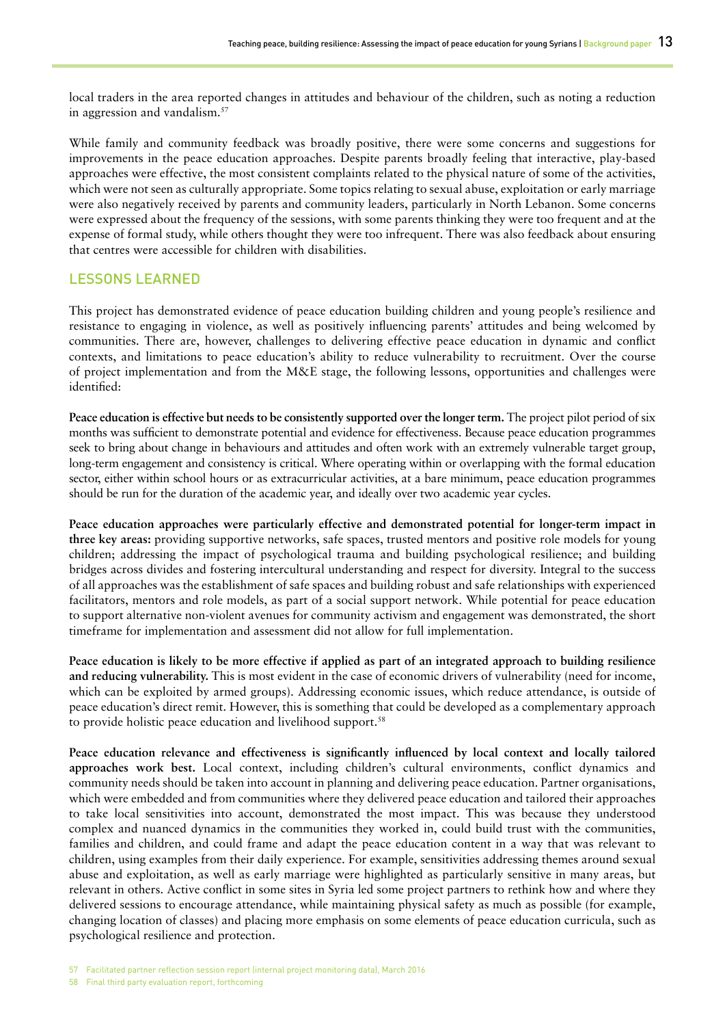local traders in the area reported changes in attitudes and behaviour of the children, such as noting a reduction in aggression and vandalism.57

While family and community feedback was broadly positive, there were some concerns and suggestions for improvements in the peace education approaches. Despite parents broadly feeling that interactive, play-based approaches were effective, the most consistent complaints related to the physical nature of some of the activities, which were not seen as culturally appropriate. Some topics relating to sexual abuse, exploitation or early marriage were also negatively received by parents and community leaders, particularly in North Lebanon. Some concerns were expressed about the frequency of the sessions, with some parents thinking they were too frequent and at the expense of formal study, while others thought they were too infrequent. There was also feedback about ensuring that centres were accessible for children with disabilities.

#### LESSONS LEARNED

This project has demonstrated evidence of peace education building children and young people's resilience and resistance to engaging in violence, as well as positively influencing parents' attitudes and being welcomed by communities. There are, however, challenges to delivering effective peace education in dynamic and conflict contexts, and limitations to peace education's ability to reduce vulnerability to recruitment. Over the course of project implementation and from the M&E stage, the following lessons, opportunities and challenges were identified:

**Peace education is effective but needs to be consistently supported over the longer term.** The project pilot period of six months was sufficient to demonstrate potential and evidence for effectiveness. Because peace education programmes seek to bring about change in behaviours and attitudes and often work with an extremely vulnerable target group, long-term engagement and consistency is critical. Where operating within or overlapping with the formal education sector, either within school hours or as extracurricular activities, at a bare minimum, peace education programmes should be run for the duration of the academic year, and ideally over two academic year cycles.

**Peace education approaches were particularly effective and demonstrated potential for longer-term impact in three key areas:** providing supportive networks, safe spaces, trusted mentors and positive role models for young children; addressing the impact of psychological trauma and building psychological resilience; and building bridges across divides and fostering intercultural understanding and respect for diversity. Integral to the success of all approaches was the establishment of safe spaces and building robust and safe relationships with experienced facilitators, mentors and role models, as part of a social support network. While potential for peace education to support alternative non-violent avenues for community activism and engagement was demonstrated, the short timeframe for implementation and assessment did not allow for full implementation.

**Peace education is likely to be more effective if applied as part of an integrated approach to building resilience and reducing vulnerability.** This is most evident in the case of economic drivers of vulnerability (need for income, which can be exploited by armed groups). Addressing economic issues, which reduce attendance, is outside of peace education's direct remit. However, this is something that could be developed as a complementary approach to provide holistic peace education and livelihood support.<sup>58</sup>

Peace education relevance and effectiveness is significantly influenced by local context and locally tailored **approaches work best.** Local context, including children's cultural environments, conflict dynamics and community needs should be taken into account in planning and delivering peace education. Partner organisations, which were embedded and from communities where they delivered peace education and tailored their approaches to take local sensitivities into account, demonstrated the most impact. This was because they understood complex and nuanced dynamics in the communities they worked in, could build trust with the communities, families and children, and could frame and adapt the peace education content in a way that was relevant to children, using examples from their daily experience. For example, sensitivities addressing themes around sexual abuse and exploitation, as well as early marriage were highlighted as particularly sensitive in many areas, but relevant in others. Active conflict in some sites in Syria led some project partners to rethink how and where they delivered sessions to encourage attendance, while maintaining physical safety as much as possible (for example, changing location of classes) and placing more emphasis on some elements of peace education curricula, such as psychological resilience and protection.

<sup>57</sup> Facilitated partner reflection session report (internal project monitoring data), March 2016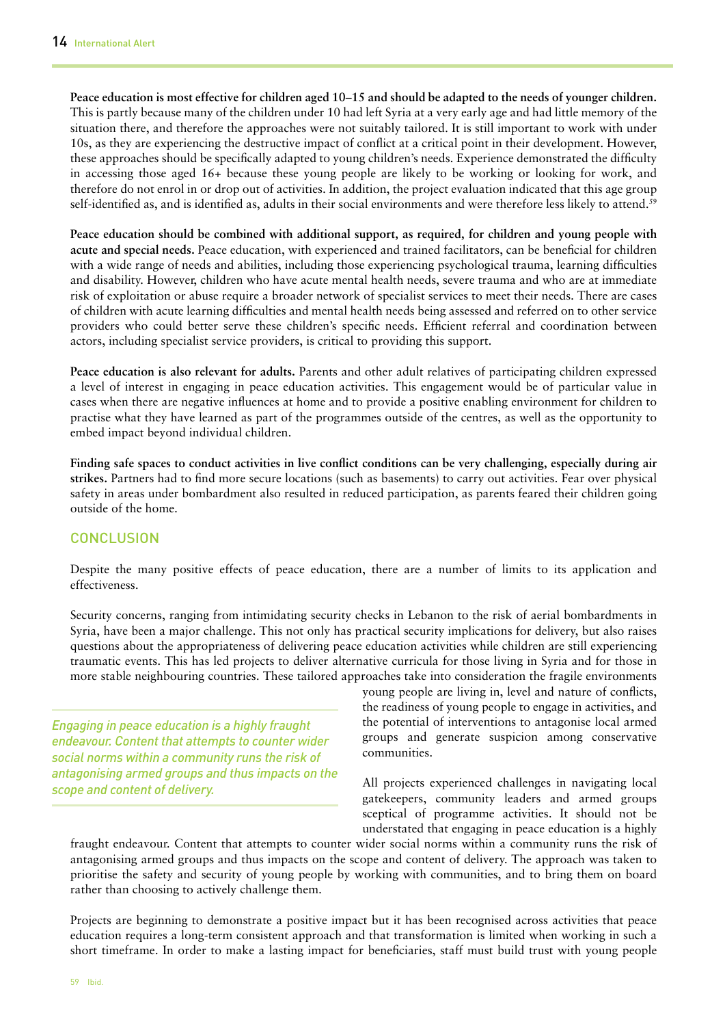**Peace education is most effective for children aged 10–15 and should be adapted to the needs of younger children.**  This is partly because many of the children under 10 had left Syria at a very early age and had little memory of the situation there, and therefore the approaches were not suitably tailored. It is still important to work with under 10s, as they are experiencing the destructive impact of conflict at a critical point in their development. However, these approaches should be specifically adapted to young children's needs. Experience demonstrated the difficulty in accessing those aged 16+ because these young people are likely to be working or looking for work, and therefore do not enrol in or drop out of activities. In addition, the project evaluation indicated that this age group self-identified as, and is identified as, adults in their social environments and were therefore less likely to attend.<sup>59</sup>

**Peace education should be combined with additional support, as required, for children and young people with acute and special needs.** Peace education, with experienced and trained facilitators, can be beneficial for children with a wide range of needs and abilities, including those experiencing psychological trauma, learning difficulties and disability. However, children who have acute mental health needs, severe trauma and who are at immediate risk of exploitation or abuse require a broader network of specialist services to meet their needs. There are cases of children with acute learning difficulties and mental health needs being assessed and referred on to other service providers who could better serve these children's specific needs. Efficient referral and coordination between actors, including specialist service providers, is critical to providing this support.

**Peace education is also relevant for adults.** Parents and other adult relatives of participating children expressed a level of interest in engaging in peace education activities. This engagement would be of particular value in cases when there are negative influences at home and to provide a positive enabling environment for children to practise what they have learned as part of the programmes outside of the centres, as well as the opportunity to embed impact beyond individual children.

**Finding safe spaces to conduct activities in live conflict conditions can be very challenging, especially during air strikes.** Partners had to find more secure locations (such as basements) to carry out activities. Fear over physical safety in areas under bombardment also resulted in reduced participation, as parents feared their children going outside of the home.

#### **CONCLUSION**

Despite the many positive effects of peace education, there are a number of limits to its application and effectiveness.

Security concerns, ranging from intimidating security checks in Lebanon to the risk of aerial bombardments in Syria, have been a major challenge. This not only has practical security implications for delivery, but also raises questions about the appropriateness of delivering peace education activities while children are still experiencing traumatic events. This has led projects to deliver alternative curricula for those living in Syria and for those in more stable neighbouring countries. These tailored approaches take into consideration the fragile environments

*Engaging in peace education is a highly fraught endeavour. Content that attempts to counter wider social norms within a community runs the risk of antagonising armed groups and thus impacts on the scope and content of delivery.*

young people are living in, level and nature of conflicts, the readiness of young people to engage in activities, and the potential of interventions to antagonise local armed groups and generate suspicion among conservative communities.

All projects experienced challenges in navigating local gatekeepers, community leaders and armed groups sceptical of programme activities. It should not be understated that engaging in peace education is a highly

fraught endeavour. Content that attempts to counter wider social norms within a community runs the risk of antagonising armed groups and thus impacts on the scope and content of delivery. The approach was taken to prioritise the safety and security of young people by working with communities, and to bring them on board rather than choosing to actively challenge them.

Projects are beginning to demonstrate a positive impact but it has been recognised across activities that peace education requires a long-term consistent approach and that transformation is limited when working in such a short timeframe. In order to make a lasting impact for beneficiaries, staff must build trust with young people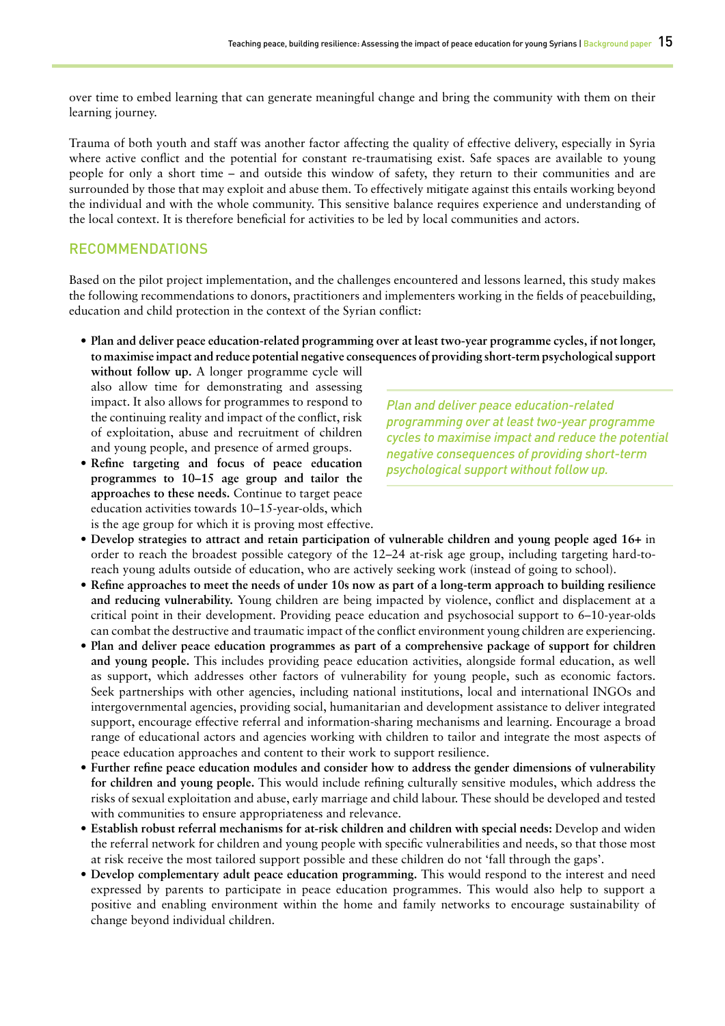over time to embed learning that can generate meaningful change and bring the community with them on their learning journey.

Trauma of both youth and staff was another factor affecting the quality of effective delivery, especially in Syria where active conflict and the potential for constant re-traumatising exist. Safe spaces are available to young people for only a short time – and outside this window of safety, they return to their communities and are surrounded by those that may exploit and abuse them. To effectively mitigate against this entails working beyond the individual and with the whole community. This sensitive balance requires experience and understanding of the local context. It is therefore beneficial for activities to be led by local communities and actors.

#### RECOMMENDATIONS

Based on the pilot project implementation, and the challenges encountered and lessons learned, this study makes the following recommendations to donors, practitioners and implementers working in the fields of peacebuilding, education and child protection in the context of the Syrian conflict:

**• Plan and deliver peace education-related programming over at least two-year programme cycles, if not longer, to maximise impact and reduce potential negative consequences of providing short-term psychological support** 

without follow up. A longer programme cycle will also allow time for demonstrating and assessing impact. It also allows for programmes to respond to the continuing reality and impact of the conflict, risk of exploitation, abuse and recruitment of children and young people, and presence of armed groups.

**• Refine targeting and focus of peace education programmes to 10–15 age group and tailor the approaches to these needs.** Continue to target peace education activities towards 10–15-year-olds, which is the age group for which it is proving most effective. *Plan and deliver peace education-related programming over at least two-year programme cycles to maximise impact and reduce the potential negative consequences of providing short-term psychological support without follow up.*

- **• Develop strategies to attract and retain participation of vulnerable children and young people aged 16+** in order to reach the broadest possible category of the 12–24 at-risk age group, including targeting hard-toreach young adults outside of education, who are actively seeking work (instead of going to school).
- **• Refine approaches to meet the needs of under 10s now as part of a long-term approach to building resilience and reducing vulnerability.** Young children are being impacted by violence, conflict and displacement at a critical point in their development. Providing peace education and psychosocial support to 6–10-year-olds can combat the destructive and traumatic impact of the conflict environment young children are experiencing.
- **• Plan and deliver peace education programmes as part of a comprehensive package of support for children and young people.** This includes providing peace education activities, alongside formal education, as well as support, which addresses other factors of vulnerability for young people, such as economic factors. Seek partnerships with other agencies, including national institutions, local and international INGOs and intergovernmental agencies, providing social, humanitarian and development assistance to deliver integrated support, encourage effective referral and information-sharing mechanisms and learning. Encourage a broad range of educational actors and agencies working with children to tailor and integrate the most aspects of peace education approaches and content to their work to support resilience.
- **• Further refine peace education modules and consider how to address the gender dimensions of vulnerability for children and young people.** This would include refining culturally sensitive modules, which address the risks of sexual exploitation and abuse, early marriage and child labour. These should be developed and tested with communities to ensure appropriateness and relevance.
- **• Establish robust referral mechanisms for at-risk children and children with special needs:** Develop and widen the referral network for children and young people with specific vulnerabilities and needs, so that those most at risk receive the most tailored support possible and these children do not 'fall through the gaps'.
- **• Develop complementary adult peace education programming.** This would respond to the interest and need expressed by parents to participate in peace education programmes. This would also help to support a positive and enabling environment within the home and family networks to encourage sustainability of change beyond individual children.